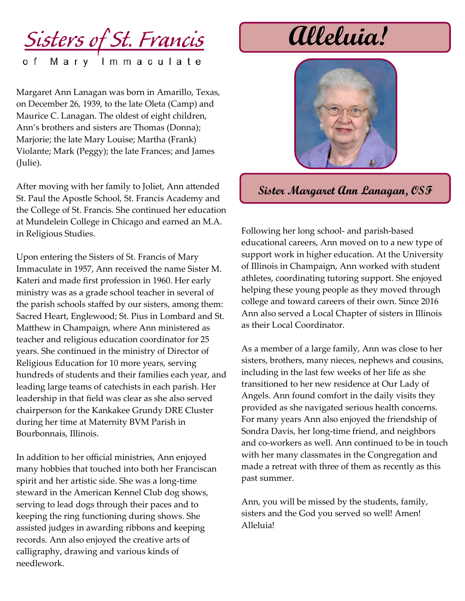

Margaret Ann Lanagan was born in Amarillo, Texas, on December 26, 1939, to the late Oleta (Camp) and Maurice C. Lanagan. The oldest of eight children, Ann's brothers and sisters are Thomas (Donna); Marjorie; the late Mary Louise; Martha (Frank) Violante; Mark (Peggy); the late Frances; and James (Julie).

After moving with her family to Joliet, Ann attended St. Paul the Apostle School, St. Francis Academy and the College of St. Francis. She continued her education at Mundelein College in Chicago and earned an M.A. in Religious Studies.

Upon entering the Sisters of St. Francis of Mary Immaculate in 1957, Ann received the name Sister M. Kateri and made first profession in 1960. Her early ministry was as a grade school teacher in several of the parish schools staffed by our sisters, among them: Sacred Heart, Englewood; St. Pius in Lombard and St. Matthew in Champaign, where Ann ministered as teacher and religious education coordinator for 25 years. She continued in the ministry of Director of Religious Education for 10 more years, serving hundreds of students and their families each year, and leading large teams of catechists in each parish. Her leadership in that field was clear as she also served chairperson for the Kankakee Grundy DRE Cluster during her time at Maternity BVM Parish in Bourbonnais, Illinois.

In addition to her official ministries, Ann enjoyed many hobbies that touched into both her Franciscan spirit and her artistic side. She was a long-time steward in the American Kennel Club dog shows, serving to lead dogs through their paces and to keeping the ring functioning during shows. She assisted judges in awarding ribbons and keeping records. Ann also enjoyed the creative arts of calligraphy, drawing and various kinds of needlework.

## **Alleluia!**



## **Sister Margaret Ann Lanagan, OSF**

Following her long school- and parish-based educational careers, Ann moved on to a new type of support work in higher education. At the University of Illinois in Champaign, Ann worked with student athletes, coordinating tutoring support. She enjoyed helping these young people as they moved through college and toward careers of their own. Since 2016 Ann also served a Local Chapter of sisters in Illinois as their Local Coordinator.

As a member of a large family, Ann was close to her sisters, brothers, many nieces, nephews and cousins, including in the last few weeks of her life as she transitioned to her new residence at Our Lady of Angels. Ann found comfort in the daily visits they provided as she navigated serious health concerns. For many years Ann also enjoyed the friendship of Sondra Davis, her long-time friend, and neighbors and co-workers as well. Ann continued to be in touch with her many classmates in the Congregation and made a retreat with three of them as recently as this past summer.

Ann, you will be missed by the students, family, sisters and the God you served so well! Amen! Alleluia!